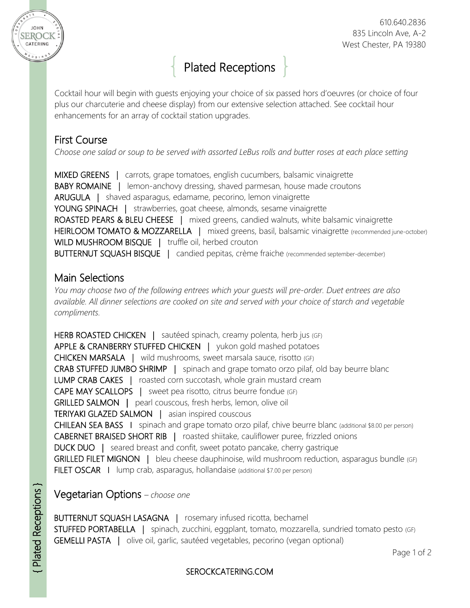

# Plated Receptions

Cocktail hour will begin with guests enjoying your choice of six passed hors d'oeuvres (or choice of four plus our charcuterie and cheese display) from our extensive selection attached. See cocktail hour enhancements for an array of cocktail station upgrades.

## First Course

*Choose one salad or soup to be served with assorted LeBus rolls and butter roses at each place setting*

MIXED GREENS | carrots, grape tomatoes, english cucumbers, balsamic vinaigrette BABY ROMAINE | lemon-anchovy dressing, shaved parmesan, house made croutons ARUGULA | shaved asparagus, edamame, pecorino, lemon vinaigrette YOUNG SPINACH | strawberries, goat cheese, almonds, sesame vinaigrette ROASTED PEARS & BLEU CHEESE | mixed greens, candied walnuts, white balsamic vinaigrette HEIRLOOM TOMATO & MOZZARELLA | mixed greens, basil, balsamic vinaigrette (recommended june-october) WILD MUSHROOM BISQUE | truffle oil, herbed crouton BUTTERNUT SQUASH BISQUE | candied pepitas, crème fraiche (recommended september-december)

# Main Selections

*You may choose two of the following entrees which your guests will pre-order. Duet entrees are also available. All dinner selections are cooked on site and served with your choice of starch and vegetable compliments.*

HERB ROASTED CHICKEN | sautéed spinach, creamy polenta, herb jus (GF) APPLE & CRANBERRY STUFFED CHICKEN | yukon gold mashed potatoes CHICKEN MARSALA | wild mushrooms, sweet marsala sauce, risotto (GF) CRAB STUFFED JUMBO SHRIMP | spinach and grape tomato orzo pilaf, old bay beurre blanc LUMP CRAB CAKES | roasted corn succotash, whole grain mustard cream CAPE MAY SCALLOPS | sweet pea risotto, citrus beurre fondue (GF) GRILLED SALMON | pearl couscous, fresh herbs, lemon, olive oil TERIYAKI GLAZED SALMON | asian inspired couscous CHILEAN SEA BASS I spinach and grape tomato orzo pilaf, chive beurre blanc (additional \$8.00 per person) CABERNET BRAISED SHORT RIB | roasted shiitake, cauliflower puree, frizzled onions DUCK DUO | seared breast and confit, sweet potato pancake, cherry gastrique GRILLED FILET MIGNON | bleu cheese dauphinoise, wild mushroom reduction, asparagus bundle (GF) FILET OSCAR | lump crab, asparagus, hollandaise (additional \$7.00 per person)

Vegetarian Options *– choose one*

BUTTERNUT SQUASH LASAGNA | rosemary infused ricotta, bechamel STUFFED PORTABELLA | spinach, zucchini, eggplant, tomato, mozzarella, sundried tomato pesto (GF) GEMELLI PASTA | olive oil, garlic, sautéed vegetables, pecorino (vegan optional)

### SEROCKCATERING.COM